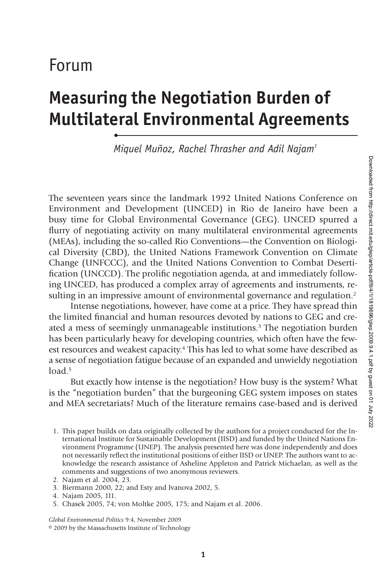# Forum

•

# **Measuring the Negotiation Burden of Multilateral Environmental Agreements**

*Miquel Muñoz, Rachel Thrasher and Adil Najam1*

The seventeen years since the landmark 1992 United Nations Conference on Environment and Development (UNCED) in Rio de Janeiro have been a busy time for Global Environmental Governance (GEG). UNCED spurred a flurry of negotiating activity on many multilateral environmental agreements (MEAs), including the so-called Rio Conventions—the Convention on Biological Diversity (CBD), the United Nations Framework Convention on Climate Change (UNFCCC), and the United Nations Convention to Combat Desertification (UNCCD). The prolific negotiation agenda, at and immediately following UNCED, has produced a complex array of agreements and instruments, resulting in an impressive amount of environmental governance and regulation.<sup>2</sup>

Intense negotiations, however, have come at a price. They have spread thin the limited financial and human resources devoted by nations to GEG and created a mess of seemingly unmanageable institutions.<sup>3</sup> The negotiation burden has been particularly heavy for developing countries, which often have the fewest resources and weakest capacity.<sup>4</sup> This has led to what some have described as a sense of negotiation fatigue because of an expanded and unwieldy negotiation load  $5$ 

But exactly how intense is the negotiation? How busy is the system? What is the "negotiation burden" that the burgeoning GEG system imposes on states and MEA secretariats? Much of the literature remains case-based and is derived

1. This paper builds on data originally collected by the authors for a project conducted for the International Institute for Sustainable Development (IISD) and funded by the United Nations Environment Programme (UNEP). The analysis presented here was done independently and does not necessarily reflect the institutional positions of either IISD or UNEP. The authors want to acknowledge the research assistance of Asheline Appleton and Patrick Michaelan, as well as the comments and suggestions of two anonymous reviewers.

3. Biermann 2000, 22; and Esty and Ivanova 2002, 5.

5. Chasek 2005, 74; von Moltke 2005, 175; and Najam et al. 2006.

*Global Environmental Politics* 9:4, November 2009 © 2009 by the Massachusetts Institute of Technology

<sup>2.</sup> Najam et al. 2004, 23.

<sup>4.</sup> Najam 2005, 111.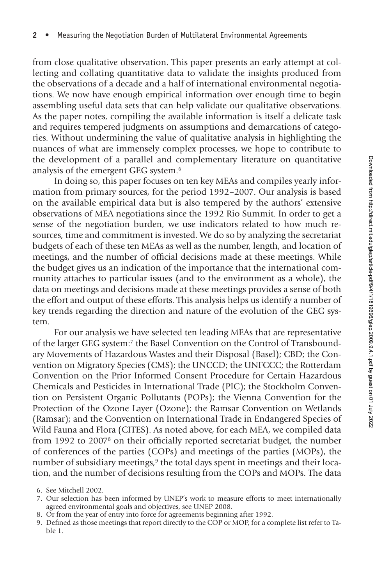from close qualitative observation. This paper presents an early attempt at collecting and collating quantitative data to validate the insights produced from the observations of a decade and a half of international environmental negotiations. We now have enough empirical information over enough time to begin assembling useful data sets that can help validate our qualitative observations. As the paper notes, compiling the available information is itself a delicate task and requires tempered judgments on assumptions and demarcations of categories. Without undermining the value of qualitative analysis in highlighting the nuances of what are immensely complex processes, we hope to contribute to the development of a parallel and complementary literature on quantitative analysis of the emergent GEG system.6

In doing so, this paper focuses on ten key MEAs and compiles yearly information from primary sources, for the period 1992–2007. Our analysis is based on the available empirical data but is also tempered by the authors' extensive observations of MEA negotiations since the 1992 Rio Summit. In order to get a sense of the negotiation burden, we use indicators related to how much resources, time and commitment is invested. We do so by analyzing the secretariat budgets of each of these ten MEAs as well as the number, length, and location of meetings, and the number of official decisions made at these meetings. While the budget gives us an indication of the importance that the international community attaches to particular issues (and to the environment as a whole), the data on meetings and decisions made at these meetings provides a sense of both the effort and output of these efforts. This analysis helps us identify a number of key trends regarding the direction and nature of the evolution of the GEG system.

For our analysis we have selected ten leading MEAs that are representative of the larger GEG system:7 the Basel Convention on the Control of Transboundary Movements of Hazardous Wastes and their Disposal (Basel); CBD; the Convention on Migratory Species (CMS); the UNCCD; the UNFCCC; the Rotterdam Convention on the Prior Informed Consent Procedure for Certain Hazardous Chemicals and Pesticides in International Trade (PIC); the Stockholm Convention on Persistent Organic Pollutants (POPs); the Vienna Convention for the Protection of the Ozone Layer (Ozone); the Ramsar Convention on Wetlands (Ramsar); and the Convention on International Trade in Endangered Species of Wild Fauna and Flora (CITES). As noted above, for each MEA, we compiled data from 1992 to 2007<sup>8</sup> on their officially reported secretariat budget, the number of conferences of the parties (COPs) and meetings of the parties (MOPs), the number of subsidiary meetings,<sup>9</sup> the total days spent in meetings and their location, and the number of decisions resulting from the COPs and MOPs. The data

8. Or from the year of entry into force for agreements beginning after 1992.

<sup>6.</sup> See Mitchell 2002.

<sup>7.</sup> Our selection has been informed by UNEP's work to measure efforts to meet internationally agreed environmental goals and objectives, see UNEP 2008.

<sup>9.</sup> Defined as those meetings that report directly to the COP or MOP, for a complete list refer to Table 1.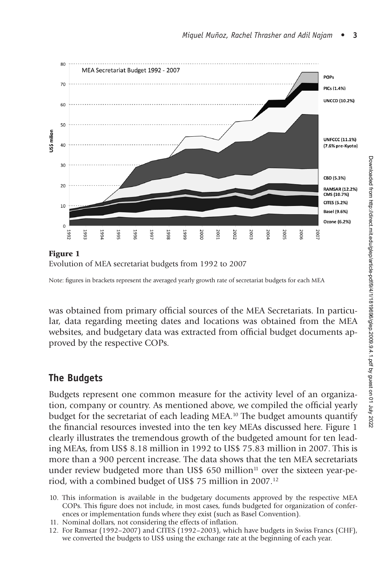

Evolution of MEA secretariat budgets from 1992 to 2007

was obtained from primary official sources of the MEA Secretariats. In particular, data regarding meeting dates and locations was obtained from the MEA websites, and budgetary data was extracted from official budget documents approved by the respective COPs.

# **The Budgets**

Budgets represent one common measure for the activity level of an organization, company or country. As mentioned above, we compiled the official yearly budget for the secretariat of each leading MEA.10 The budget amounts quantify the financial resources invested into the ten key MEAs discussed here. Figure 1 clearly illustrates the tremendous growth of the budgeted amount for ten leading MEAs, from US\$ 8.18 million in 1992 to US\$ 75.83 million in 2007. This is more than a 900 percent increase. The data shows that the ten MEA secretariats under review budgeted more than US\$ 650 million<sup>11</sup> over the sixteen year-period, with a combined budget of US\$ 75 million in 2007.12

- 10. This information is available in the budgetary documents approved by the respective MEA COPs. This figure does not include, in most cases, funds budgeted for organization of conferences or implementation funds where they exist (such as Basel Convention).
- 11. Nominal dollars, not considering the effects of inflation.
- 12. For Ramsar (1992–2007) and CITES (1992–2003), which have budgets in Swiss Francs (CHF), we converted the budgets to US\$ using the exchange rate at the beginning of each year.

Note: figures in brackets represent the averaged yearly growth rate of secretariat budgets for each MEA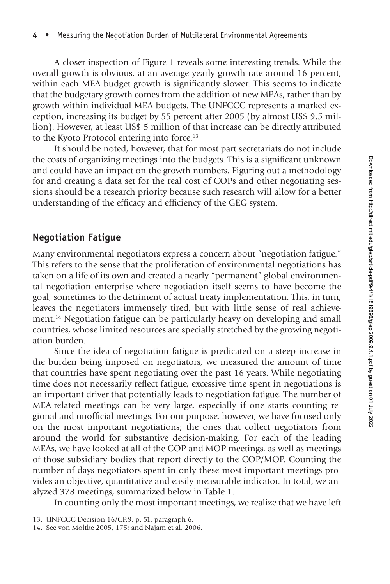A closer inspection of Figure 1 reveals some interesting trends. While the overall growth is obvious, at an average yearly growth rate around 16 percent, within each MEA budget growth is significantly slower. This seems to indicate that the budgetary growth comes from the addition of new MEAs, rather than by growth within individual MEA budgets. The UNFCCC represents a marked exception, increasing its budget by 55 percent after 2005 (by almost US\$ 9.5 million). However, at least US\$ 5 million of that increase can be directly attributed to the Kyoto Protocol entering into force.<sup>13</sup>

It should be noted, however, that for most part secretariats do not include the costs of organizing meetings into the budgets. This is a significant unknown and could have an impact on the growth numbers. Figuring out a methodology for and creating a data set for the real cost of COPs and other negotiating sessions should be a research priority because such research will allow for a better understanding of the efficacy and efficiency of the GEG system.

## **Negotiation Fatigue**

Many environmental negotiators express a concern about "negotiation fatigue." This refers to the sense that the proliferation of environmental negotiations has taken on a life of its own and created a nearly "permanent" global environmental negotiation enterprise where negotiation itself seems to have become the goal, sometimes to the detriment of actual treaty implementation. This, in turn, leaves the negotiators immensely tired, but with little sense of real achievement.14 Negotiation fatigue can be particularly heavy on developing and small countries, whose limited resources are specially stretched by the growing negotiation burden.

Since the idea of negotiation fatigue is predicated on a steep increase in the burden being imposed on negotiators, we measured the amount of time that countries have spent negotiating over the past 16 years. While negotiating time does not necessarily reflect fatigue, excessive time spent in negotiations is an important driver that potentially leads to negotiation fatigue. The number of MEA-related meetings can be very large, especially if one starts counting regional and unofficial meetings. For our purpose, however, we have focused only on the most important negotiations; the ones that collect negotiators from around the world for substantive decision-making. For each of the leading MEAs, we have looked at all of the COP and MOP meetings, as well as meetings of those subsidiary bodies that report directly to the COP/MOP. Counting the number of days negotiators spent in only these most important meetings provides an objective, quantitative and easily measurable indicator. In total, we analyzed 378 meetings, summarized below in Table 1.

In counting only the most important meetings, we realize that we have left

<sup>13.</sup> UNFCCC Decision 16/CP.9, p. 51, paragraph 6.

<sup>14.</sup> See von Moltke 2005, 175; and Najam et al. 2006.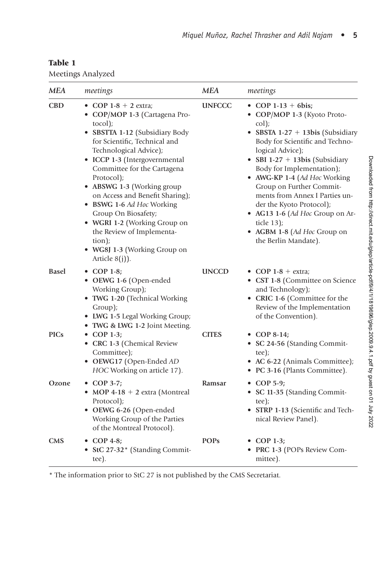#### Table 1

Meetings Analyzed

| MEA        | meetings                                                                                                                                                                                                                                                                                                                                                                                                                                                                                     | <b>MEA</b>    | meetings                                                                                                                                                                                                                                                                                                                                                                                                                                               |
|------------|----------------------------------------------------------------------------------------------------------------------------------------------------------------------------------------------------------------------------------------------------------------------------------------------------------------------------------------------------------------------------------------------------------------------------------------------------------------------------------------------|---------------|--------------------------------------------------------------------------------------------------------------------------------------------------------------------------------------------------------------------------------------------------------------------------------------------------------------------------------------------------------------------------------------------------------------------------------------------------------|
| CBD        | • COP 1-8 + 2 extra;<br>• COP/MOP 1-3 (Cartagena Pro-<br>tocol);<br>• SBSTTA 1-12 (Subsidiary Body<br>for Scientific, Technical and<br>Technological Advice);<br>• ICCP 1-3 (Intergovernmental<br>Committee for the Cartagena<br>Protocol);<br>• ABSWG 1-3 (Working group<br>on Access and Benefit Sharing);<br>• BSWG 1-6 Ad Hoc Working<br>Group On Biosafety;<br>• WGRI 1-2 (Working Group on<br>the Review of Implementa-<br>tion);<br>· WG8J 1-3 (Working Group on<br>Article $8(j)$ ). | <b>UNFCCC</b> | • COP 1-13 + 6bis;<br>• COP/MOP 1-3 (Kyoto Proto-<br>col);<br>• SBSTA 1-27 + 13bis (Subsidiary<br>Body for Scientific and Techno-<br>logical Advice);<br>• SBI 1-27 + 13bis (Subsidiary<br>Body for Implementation);<br>• AWG-KP 1-4 (Ad Hoc Working<br>Group on Further Commit-<br>ments from Annex I Parties un-<br>der the Kyoto Protocol);<br>• AG13 1-6 (Ad Hoc Group on Ar-<br>ticle 13);<br>• AGBM 1-8 (Ad Hoc Group on<br>the Berlin Mandate). |
| Basel      | $\bullet$ COP 1-8;<br>• OEWG 1-6 (Open-ended<br>Working Group);<br>• TWG 1-20 (Technical Working<br>Group);<br>• LWG 1-5 Legal Working Group;<br>• TWG & LWG 1-2 Joint Meeting.                                                                                                                                                                                                                                                                                                              | <b>UNCCD</b>  | • COP 1-8 + extra;<br>• CST 1-8 (Committee on Science<br>and Technology);<br>• CRIC 1-6 (Committee for the<br>Review of the Implementation<br>of the Convention).                                                                                                                                                                                                                                                                                      |
| PICs       | $\bullet$ COP 1-3;<br>• CRC 1-3 (Chemical Review<br>Committee);<br>• OEWG17 (Open-Ended AD<br>HOC Working on article 17).                                                                                                                                                                                                                                                                                                                                                                    | <b>CITES</b>  | • COP 8-14;<br>• SC 24-56 (Standing Commit-<br>tee);<br>• AC 6-22 (Animals Committee);<br>• PC 3-16 (Plants Committee).                                                                                                                                                                                                                                                                                                                                |
| Ozone      | $\bullet$ COP 3-7;<br>• MOP 4-18 + 2 extra (Montreal<br>Protocol);<br>• OEWG 6-26 (Open-ended<br>Working Group of the Parties<br>of the Montreal Protocol).                                                                                                                                                                                                                                                                                                                                  | Ramsar        | • COP 5-9;<br>• SC 11-35 (Standing Commit-<br>tee);<br>• STRP 1-13 (Scientific and Tech-<br>nical Review Panel).                                                                                                                                                                                                                                                                                                                                       |
| <b>CMS</b> | $\bullet$ COP 4-8;<br>• StC 27-32* (Standing Commit-<br>tee).                                                                                                                                                                                                                                                                                                                                                                                                                                | <b>POPs</b>   | $\bullet$ COP 1-3;<br>• PRC 1-3 (POPs Review Com-<br>mittee).                                                                                                                                                                                                                                                                                                                                                                                          |

\* The information prior to StC 27 is not published by the CMS Secretariat.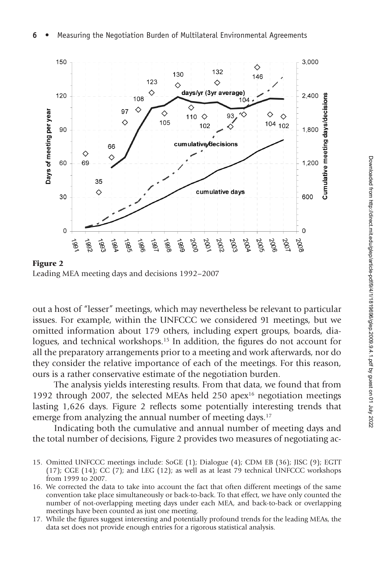

Leading MEA meeting days and decisions 1992–2007

out a host of "lesser" meetings, which may nevertheless be relevant to particular issues. For example, within the UNFCCC we considered 91 meetings, but we omitted information about 179 others, including expert groups, boards, dialogues, and technical workshops.<sup>15</sup> In addition, the figures do not account for all the preparatory arrangements prior to a meeting and work afterwards, nor do they consider the relative importance of each of the meetings. For this reason, ours is a rather conservative estimate of the negotiation burden.

The analysis yields interesting results. From that data, we found that from 1992 through 2007, the selected MEAs held 250 apex<sup>16</sup> negotiation meetings lasting 1,626 days. Figure 2 reflects some potentially interesting trends that emerge from analyzing the annual number of meeting days.<sup>17</sup>

Indicating both the cumulative and annual number of meeting days and the total number of decisions, Figure 2 provides two measures of negotiating ac-

- 15. Omitted UNFCCC meetings include: SoGE (1); Dialogue (4); CDM EB (36); JISC (9); EGTT (17); CGE (14); CC (7); and LEG (12); as well as at least 79 technical UNFCCC workshops from 1999 to 2007.
- 16. We corrected the data to take into account the fact that often different meetings of the same convention take place simultaneously or back-to-back. To that effect, we have only counted the number of not-overlapping meeting days under each MEA, and back-to-back or overlapping meetings have been counted as just one meeting.
- 17. While the figures suggest interesting and potentially profound trends for the leading MEAs, the data set does not provide enough entries for a rigorous statistical analysis.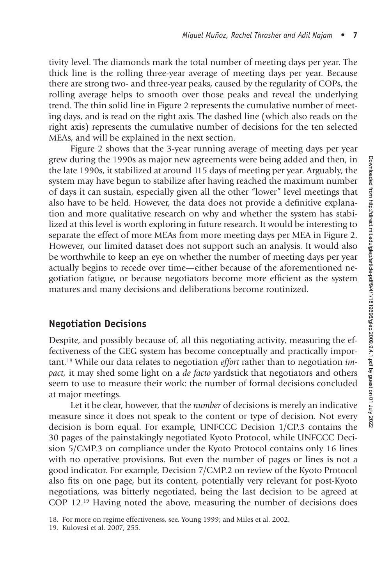tivity level. The diamonds mark the total number of meeting days per year. The thick line is the rolling three-year average of meeting days per year. Because there are strong two- and three-year peaks, caused by the regularity of COPs, the rolling average helps to smooth over those peaks and reveal the underlying trend. The thin solid line in Figure 2 represents the cumulative number of meeting days, and is read on the right axis. The dashed line (which also reads on the right axis) represents the cumulative number of decisions for the ten selected MEAs, and will be explained in the next section.

Figure 2 shows that the 3-year running average of meeting days per year grew during the 1990s as major new agreements were being added and then, in the late 1990s, it stabilized at around 115 days of meeting per year. Arguably, the system may have begun to stabilize after having reached the maximum number of days it can sustain, especially given all the other "lower" level meetings that also have to be held. However, the data does not provide a definitive explanation and more qualitative research on why and whether the system has stabilized at this level is worth exploring in future research. It would be interesting to separate the effect of more MEAs from more meeting days per MEA in Figure 2. However, our limited dataset does not support such an analysis. It would also be worthwhile to keep an eye on whether the number of meeting days per year actually begins to recede over time—either because of the aforementioned negotiation fatigue, or because negotiators become more efficient as the system matures and many decisions and deliberations become routinized.

#### **Negotiation Decisions**

Despite, and possibly because of, all this negotiating activity, measuring the effectiveness of the GEG system has become conceptually and practically important.18 While our data relates to negotiation *effort* rather than to negotiation *impact,* it may shed some light on a *de facto* yardstick that negotiators and others seem to use to measure their work: the number of formal decisions concluded at major meetings.

Let it be clear, however, that the *number* of decisions is merely an indicative measure since it does not speak to the content or type of decision. Not every decision is born equal. For example, UNFCCC Decision 1/CP.3 contains the 30 pages of the painstakingly negotiated Kyoto Protocol, while UNFCCC Decision 5/CMP.3 on compliance under the Kyoto Protocol contains only 16 lines with no operative provisions. But even the number of pages or lines is not a good indicator. For example, Decision 7/CMP.2 on review of the Kyoto Protocol also fits on one page, but its content, potentially very relevant for post-Kyoto negotiations, was bitterly negotiated, being the last decision to be agreed at COP 12.19 Having noted the above, measuring the number of decisions does

<sup>18.</sup> For more on regime effectiveness, see, Young 1999; and Miles et al. 2002.

<sup>19.</sup> Kulovesi et al. 2007, 255.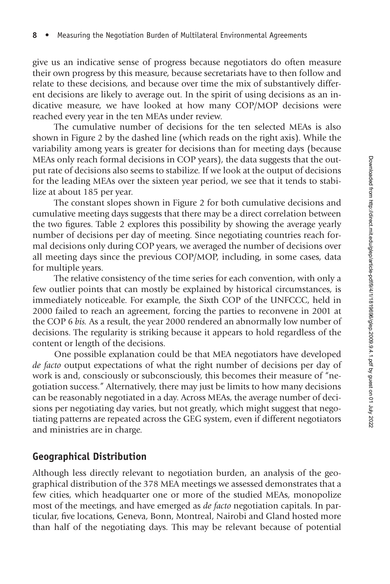give us an indicative sense of progress because negotiators do often measure their own progress by this measure, because secretariats have to then follow and relate to these decisions, and because over time the mix of substantively different decisions are likely to average out. In the spirit of using decisions as an indicative measure, we have looked at how many COP/MOP decisions were reached every year in the ten MEAs under review.

The cumulative number of decisions for the ten selected MEAs is also shown in Figure 2 by the dashed line (which reads on the right axis). While the variability among years is greater for decisions than for meeting days (because MEAs only reach formal decisions in COP years), the data suggests that the output rate of decisions also seems to stabilize. If we look at the output of decisions for the leading MEAs over the sixteen year period, we see that it tends to stabilize at about 185 per year.

The constant slopes shown in Figure 2 for both cumulative decisions and cumulative meeting days suggests that there may be a direct correlation between the two figures. Table 2 explores this possibility by showing the average yearly number of decisions per day of meeting. Since negotiating countries reach formal decisions only during COP years, we averaged the number of decisions over all meeting days since the previous COP/MOP, including, in some cases, data for multiple years.

The relative consistency of the time series for each convention, with only a few outlier points that can mostly be explained by historical circumstances, is immediately noticeable. For example, the Sixth COP of the UNFCCC, held in 2000 failed to reach an agreement, forcing the parties to reconvene in 2001 at the COP 6 *bis.* As a result, the year 2000 rendered an abnormally low number of decisions. The regularity is striking because it appears to hold regardless of the content or length of the decisions.

One possible explanation could be that MEA negotiators have developed *de facto* output expectations of what the right number of decisions per day of work is and, consciously or subconsciously, this becomes their measure of "negotiation success." Alternatively, there may just be limits to how many decisions can be reasonably negotiated in a day. Across MEAs, the average number of decisions per negotiating day varies, but not greatly, which might suggest that negotiating patterns are repeated across the GEG system, even if different negotiators and ministries are in charge.

#### **Geographical Distribution**

Although less directly relevant to negotiation burden, an analysis of the geographical distribution of the 378 MEA meetings we assessed demonstrates that a few cities, which headquarter one or more of the studied MEAs, monopolize most of the meetings, and have emerged as *de facto* negotiation capitals. In particular, five locations, Geneva, Bonn, Montreal, Nairobi and Gland hosted more than half of the negotiating days. This may be relevant because of potential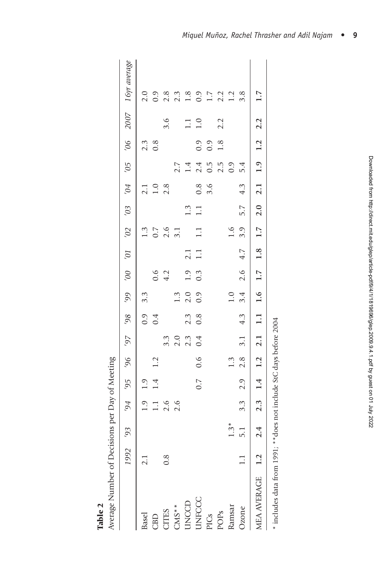| Average Number of Decisions per Day of Meeting |    |                                                                                                                                                                                                                                |                             |         |     |                     |              |                  |                  |         |                                  |                 |                         |                         |                                           |     |                                                                       |
|------------------------------------------------|----|--------------------------------------------------------------------------------------------------------------------------------------------------------------------------------------------------------------------------------|-----------------------------|---------|-----|---------------------|--------------|------------------|------------------|---------|----------------------------------|-----------------|-------------------------|-------------------------|-------------------------------------------|-----|-----------------------------------------------------------------------|
|                                                |    | 992 93                                                                                                                                                                                                                         |                             | 56, +6, | 96, |                     |              |                  |                  |         |                                  |                 |                         |                         |                                           |     | a8tuant ulg <sub>I</sub> 2007 90, 50, 70, 60, 20, 10, 00, 66, 86, 26, |
| <b>Basel</b>                                   |    |                                                                                                                                                                                                                                |                             | 1.9     |     |                     |              | $3.\overline{3}$ |                  |         |                                  |                 |                         |                         |                                           |     |                                                                       |
| CBD                                            |    |                                                                                                                                                                                                                                | $1.3$<br>$1.1$ $6$<br>$2.6$ | 1.4     | 1.2 |                     | $0.9$<br>0.4 |                  |                  |         | $1.3$<br>$0.7$<br>$0.4$<br>$3.1$ |                 | $2.1$<br>$1.0$<br>$2.8$ |                         | $\begin{array}{c} 2.3 \\ 0.8 \end{array}$ |     | $\begin{array}{c} 2.0 \\ 0.9 \end{array}$                             |
| <b>CITES</b>                                   | œ. |                                                                                                                                                                                                                                |                             |         |     |                     |              |                  | $0.6$<br>4.2     |         |                                  |                 |                         |                         |                                           | 3.6 |                                                                       |
| $CMS**$                                        |    |                                                                                                                                                                                                                                |                             |         |     | 3<br>3 0 3<br>3 2 3 |              | $1.\overline{3}$ |                  |         |                                  |                 |                         |                         |                                           |     | $2.\overline{3}$<br>$2.\overline{3}$<br>$1.\overline{8}$              |
|                                                |    |                                                                                                                                                                                                                                |                             |         |     |                     | 2.3          | 2.0              | 1.9              | 2.1     |                                  | 1.3             |                         | $2.7$<br>1.4            |                                           | 1.1 |                                                                       |
| <b>UNCCD</b><br>UNFCCC                         |    |                                                                                                                                                                                                                                |                             | 0.7     | 0.6 | 0.4                 | 0.8          | 0.9              | $0.\overline{3}$ | $1.1\,$ | $\Xi$                            | $\overline{11}$ |                         |                         |                                           | 1.0 |                                                                       |
|                                                |    |                                                                                                                                                                                                                                |                             |         |     |                     |              |                  |                  |         |                                  |                 | $0.8$<br>3.6            | $2.4$<br>0.5            | $\begin{array}{c} 0.9 \\ 0.9 \end{array}$ |     |                                                                       |
| PICs<br>POPs                                   |    |                                                                                                                                                                                                                                |                             |         |     |                     |              |                  |                  |         |                                  |                 |                         | $2.\overline{5}$<br>0.9 | $1.8$                                     | 2.2 | $0.9$<br>$1.7$<br>$2.3$<br>$1.2$                                      |
| Ramsar                                         |    | $1.3*$                                                                                                                                                                                                                         |                             |         | 1.3 |                     |              | $1.0$            |                  |         | 1.6                              |                 |                         |                         |                                           |     |                                                                       |
| <b>Jzone</b>                                   | Ę  | $\frac{1}{2}$                                                                                                                                                                                                                  | $3.\overline{3}$            | 2.9     | 2.8 | 3.1                 | 4.3          |                  | $3.4$ 2.6        | 4.7     | 3.9                              | 5.7             | 4.3                     | 5.4                     |                                           |     | 3.8                                                                   |
| <b>MEA AVERAGE</b>                             |    | $.2$ $2.4$ $2.3$ $1.4$ $1.2$ $2.1$ $1.1$ $1.6$ $1.7$ $1.8$ $1.7$ $2.0$ $2.1$ $1.9$ $1.2$ $2.2$                                                                                                                                 |                             |         |     |                     |              |                  |                  |         |                                  |                 |                         |                         |                                           |     | 1.7                                                                   |
| 4.1.1.1.1.1.1.0.1.0.1.0.1.                     |    | received the first contract the state of the state of the state of the state of the state of the state of the state of the state of the state of the state of the state of the state of the state of the state of the state of |                             |         |     |                     |              |                  |                  |         |                                  |                 |                         |                         |                                           |     |                                                                       |

|         | Average Number of Decisions per Day of Meeting |
|---------|------------------------------------------------|
| Table 2 |                                                |

\* includes data from 1991; \*\* does not include StC days before 2004 \* includes data from 1991; \*\*does not include StC days before 2004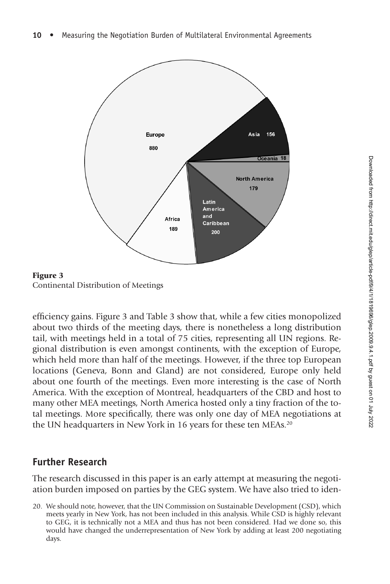

Figure 3 Continental Distribution of Meetings

efficiency gains. Figure 3 and Table 3 show that, while a few cities monopolized about two thirds of the meeting days, there is nonetheless a long distribution tail, with meetings held in a total of 75 cities, representing all UN regions. Regional distribution is even amongst continents, with the exception of Europe, which held more than half of the meetings. However, if the three top European locations (Geneva, Bonn and Gland) are not considered, Europe only held about one fourth of the meetings. Even more interesting is the case of North America. With the exception of Montreal, headquarters of the CBD and host to many other MEA meetings, North America hosted only a tiny fraction of the total meetings. More specifically, there was only one day of MEA negotiations at the UN headquarters in New York in 16 years for these ten MEAs.<sup>20</sup>

# **Further Research**

The research discussed in this paper is an early attempt at measuring the negotiation burden imposed on parties by the GEG system. We have also tried to iden-

<sup>20.</sup> We should note, however, that the UN Commission on Sustainable Development (CSD), which meets yearly in New York, has not been included in this analysis. While CSD is highly relevant to GEG, it is technically not a MEA and thus has not been considered. Had we done so, this would have changed the underrepresentation of New York by adding at least 200 negotiating days.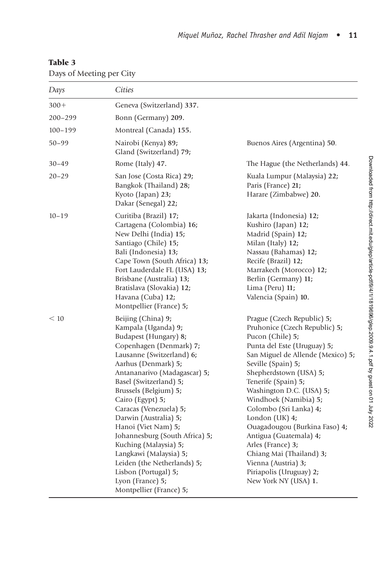#### Table 3

Days of Meeting per City

| Days        | Cities                                                                                                                                                                                                                                                                                                                                                                                                                                                                                                                        |                                                                                                                                                                                                                                                                                                                                                                                                                                                                                                                   |
|-------------|-------------------------------------------------------------------------------------------------------------------------------------------------------------------------------------------------------------------------------------------------------------------------------------------------------------------------------------------------------------------------------------------------------------------------------------------------------------------------------------------------------------------------------|-------------------------------------------------------------------------------------------------------------------------------------------------------------------------------------------------------------------------------------------------------------------------------------------------------------------------------------------------------------------------------------------------------------------------------------------------------------------------------------------------------------------|
| $300+$      | Geneva (Switzerland) 337.                                                                                                                                                                                                                                                                                                                                                                                                                                                                                                     |                                                                                                                                                                                                                                                                                                                                                                                                                                                                                                                   |
| $200 - 299$ | Bonn (Germany) 209.                                                                                                                                                                                                                                                                                                                                                                                                                                                                                                           |                                                                                                                                                                                                                                                                                                                                                                                                                                                                                                                   |
| $100 - 199$ | Montreal (Canada) 155.                                                                                                                                                                                                                                                                                                                                                                                                                                                                                                        |                                                                                                                                                                                                                                                                                                                                                                                                                                                                                                                   |
| $50 - 99$   | Nairobi (Kenya) 89;<br>Gland (Switzerland) 79;                                                                                                                                                                                                                                                                                                                                                                                                                                                                                | Buenos Aires (Argentina) 50.                                                                                                                                                                                                                                                                                                                                                                                                                                                                                      |
| $30 - 49$   | Rome (Italy) 47.                                                                                                                                                                                                                                                                                                                                                                                                                                                                                                              | The Hague (the Netherlands) 44.                                                                                                                                                                                                                                                                                                                                                                                                                                                                                   |
| $20 - 29$   | San Jose (Costa Rica) 29;<br>Bangkok (Thailand) 28;<br>Kyoto (Japan) 23;<br>Dakar (Senegal) 22;                                                                                                                                                                                                                                                                                                                                                                                                                               | Kuala Lumpur (Malaysia) 22;<br>Paris (France) 21;<br>Harare (Zimbabwe) 20.                                                                                                                                                                                                                                                                                                                                                                                                                                        |
| $10 - 19$   | Curitiba (Brazil) 17;<br>Cartagena (Colombia) 16;<br>New Delhi (India) 15;<br>Santiago (Chile) 15;<br>Bali (Indonesia) 13;<br>Cape Town (South Africa) 13;<br>Fort Lauderdale FL (USA) 13;<br>Brisbane (Australia) 13;<br>Bratislava (Slovakia) 12;<br>Havana (Cuba) 12;<br>Montpellier (France) 5;                                                                                                                                                                                                                           | Jakarta (Indonesia) 12;<br>Kushiro (Japan) 12;<br>Madrid (Spain) 12;<br>Milan (Italy) 12;<br>Nassau (Bahamas) 12;<br>Recife (Brazil) 12;<br>Marrakech (Morocco) 12;<br>Berlin (Germany) 11;<br>Lima (Peru) 11;<br>Valencia (Spain) 10.                                                                                                                                                                                                                                                                            |
| < 10        | Beijing (China) 9;<br>Kampala (Uganda) 9;<br>Budapest (Hungary) 8;<br>Copenhagen (Denmark) 7;<br>Lausanne (Switzerland) 6;<br>Aarhus (Denmark) 5;<br>Antananarivo (Madagascar) 5;<br>Basel (Switzerland) 5;<br>Brussels (Belgium) 5;<br>Cairo (Egypt) 5;<br>Caracas (Venezuela) 5;<br>Darwin (Australia) 5;<br>Hanoi (Viet Nam) 5;<br>Johannesburg (South Africa) 5;<br>Kuching (Malaysia) 5;<br>Langkawi (Malaysia) 5;<br>Leiden (the Netherlands) 5;<br>Lisbon (Portugal) 5;<br>Lyon (France) 5;<br>Montpellier (France) 5; | Prague (Czech Republic) 5;<br>Pruhonice (Czech Republic) 5;<br>Pucon (Chile) 5;<br>Punta del Este (Uruguay) 5;<br>San Miguel de Allende (Mexico) 5;<br>Seville (Spain) 5;<br>Shepherdstown (USA) 5;<br>Tenerife (Spain) 5;<br>Washington D.C. (USA) 5;<br>Windhoek (Namibia) 5;<br>Colombo (Sri Lanka) 4;<br>London (UK) 4;<br>Ouagadougou (Burkina Faso) 4;<br>Antigua (Guatemala) 4;<br>Arles (France) 3;<br>Chiang Mai (Thailand) 3;<br>Vienna (Austria) 3;<br>Piriapolis (Uruguay) 2;<br>New York NY (USA) 1. |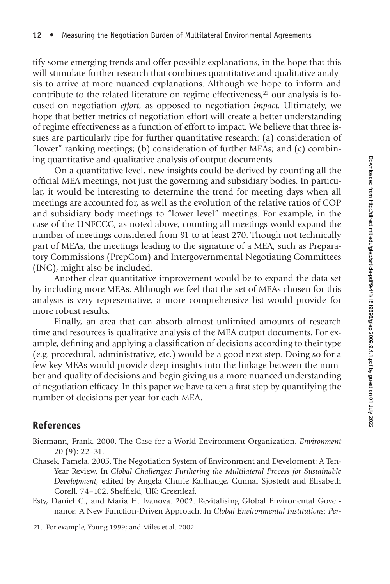tify some emerging trends and offer possible explanations, in the hope that this will stimulate further research that combines quantitative and qualitative analysis to arrive at more nuanced explanations. Although we hope to inform and contribute to the related literature on regime effectiveness, $21$  our analysis is focused on negotiation *effort,* as opposed to negotiation *impact.* Ultimately, we hope that better metrics of negotiation effort will create a better understanding of regime effectiveness as a function of effort to impact. We believe that three issues are particularly ripe for further quantitative research: (a) consideration of "lower" ranking meetings; (b) consideration of further MEAs; and (c) combining quantitative and qualitative analysis of output documents.

On a quantitative level, new insights could be derived by counting all the official MEA meetings, not just the governing and subsidiary bodies. In particular, it would be interesting to determine the trend for meeting days when all meetings are accounted for, as well as the evolution of the relative ratios of COP and subsidiary body meetings to "lower level" meetings. For example, in the case of the UNFCCC, as noted above, counting all meetings would expand the number of meetings considered from 91 to at least 270. Though not technically part of MEAs, the meetings leading to the signature of a MEA, such as Preparatory Commissions (PrepCom) and Intergovernmental Negotiating Committees (INC), might also be included.

Another clear quantitative improvement would be to expand the data set by including more MEAs. Although we feel that the set of MEAs chosen for this analysis is very representative, a more comprehensive list would provide for more robust results.

Finally, an area that can absorb almost unlimited amounts of research time and resources is qualitative analysis of the MEA output documents. For example, defining and applying a classification of decisions according to their type (e.g. procedural, administrative, etc.) would be a good next step. Doing so for a few key MEAs would provide deep insights into the linkage between the number and quality of decisions and begin giving us a more nuanced understanding of negotiation efficacy. In this paper we have taken a first step by quantifying the number of decisions per year for each MEA.

## **References**

- Biermann, Frank. 2000. The Case for a World Environment Organization. *Environment* 20 (9): 22–31.
- Chasek, Pamela. 2005. The Negotiation System of Environment and Develoment: A Ten-Year Review. In *Global Challenges: Furthering the Multilateral Process for Sustainable Development,* edited by Angela Churie Kallhauge, Gunnar Sjostedt and Elisabeth Corell, 74-102. Sheffield, UK: Greenleaf.
- Esty, Daniel C., and Maria H. Ivanova. 2002. Revitalising Global Environental Governance: A New Function-Driven Approach. In *Global Environmental Institutions: Per-*
- 21. For example, Young 1999; and Miles et al. 2002.